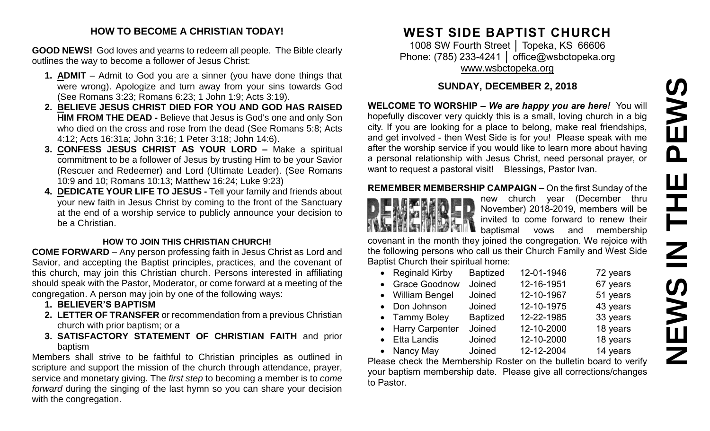# PEWS **NEWS IN THE PEWS**Ш IH<br>N<br>N<br>N **SMENE**

#### **HOW TO BECOME A CHRISTIAN TODAY!**

**GOOD NEWS!** God loves and yearns to redeem all people. The Bible clearly outlines the way to become a follower of Jesus Christ:

- **1. ADMIT** Admit to God you are a sinner (you have done things that were wrong). Apologize and turn away from your sins towards God (See Romans 3:23; Romans 6:23; 1 John 1:9; Acts 3:19).
- **2. BELIEVE JESUS CHRIST DIED FOR YOU AND GOD HAS RAISED HIM FROM THE DEAD -** Believe that Jesus is God's one and only Son who died on the cross and rose from the dead (See Romans 5:8; Acts 4:12; Acts 16:31a; John 3:16; 1 Peter 3:18; John 14:6).
- **3. CONFESS JESUS CHRIST AS YOUR LORD –** Make a spiritual commitment to be a follower of Jesus by trusting Him to be your Savior (Rescuer and Redeemer) and Lord (Ultimate Leader). (See Romans 10:9 and 10; Romans 10:13; Matthew 16:24; Luke 9:23)
- **4. DEDICATE YOUR LIFE TO JESUS -** Tell your family and friends about your new faith in Jesus Christ by coming to the front of the Sanctuary at the end of a worship service to publicly announce your decision to be a Christian.

#### **HOW TO JOIN THIS CHRISTIAN CHURCH!**

**COME FORWARD** – Any person professing faith in Jesus Christ as Lord and Savior, and accepting the Baptist principles, practices, and the covenant of this church, may join this Christian church. Persons interested in affiliating should speak with the Pastor, Moderator, or come forward at a meeting of the congregation. A person may join by one of the following ways:

- **1. BELIEVER'S BAPTISM**
- **2. LETTER OF TRANSFER** or recommendation from a previous Christian church with prior baptism; or a
- **3. SATISFACTORY STATEMENT OF CHRISTIAN FAITH** and prior baptism

Members shall strive to be faithful to Christian principles as outlined in scripture and support the mission of the church through attendance, prayer, service and monetary giving. The *first step* to becoming a member is to *come forward* during the singing of the last hymn so you can share your decision with the congregation.

# **WEST SIDE BAPTIST CHURCH**

1008 SW Fourth Street │ Topeka, KS 66606 Phone: (785) 233-4241 │ [office@wsbctopeka.org](mailto:office@wsbctopeka.org) [www.wsbctopeka.org](http://www.wsbctopeka.org/)

# **SUNDAY, DECEMBER 2, 2018**

**WELCOME TO WORSHIP –** *We are happy you are here!* You will hopefully discover very quickly this is a small, loving church in a big city. If you are looking for a place to belong, make real friendships, and get involved - then West Side is for you! Please speak with me after the worship service if you would like to learn more about having a personal relationship with Jesus Christ, need personal prayer, or want to request a pastoral visit! Blessings, Pastor Ivan.

# **REMEMBER MEMBERSHIP CAMPAIGN –** On the first Sunday of the



new church year (December thru November) 2018-2019, members will be invited to come forward to renew their baptismal vows and membership

covenant in the month they joined the congregation. We rejoice with the following persons who call us their Church Family and West Side Baptist Church their spiritual home:

| • Reginald Kirby  | <b>Baptized</b> | 12-01-1946 | 72 years |
|-------------------|-----------------|------------|----------|
| • Grace Goodnow   | Joined          | 12-16-1951 | 67 years |
| • William Bengel  | Joined          | 12-10-1967 | 51 years |
| • Don Johnson     | Joined          | 12-10-1975 | 43 years |
| • Tammy Boley     | <b>Baptized</b> | 12-22-1985 | 33 years |
| • Harry Carpenter | Joined          | 12-10-2000 | 18 years |
| • Etta Landis     | Joined          | 12-10-2000 | 18 years |
| • Nancy May       | Joined          | 12-12-2004 | 14 years |

Please check the Membership Roster on the bulletin board to verify your baptism membership date. Please give all corrections/changes to Pastor.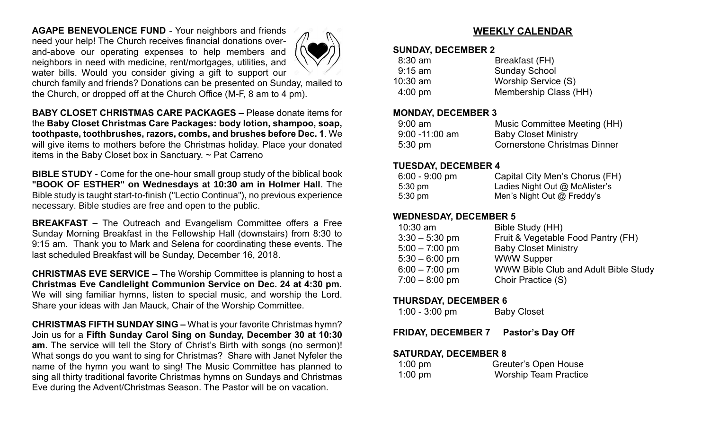**AGAPE BENEVOLENCE FUND** - Your neighbors and friends need your help! The Church receives financial donations overand-above our operating expenses to help members and neighbors in need with medicine, rent/mortgages, utilities, and water bills. Would you consider giving a gift to support our



church family and friends? Donations can be presented on Sunday, mailed to the Church, or dropped off at the Church Office (M-F, 8 am to 4 pm).

**BABY CLOSET CHRISTMAS CARE PACKAGES –** Please donate items for the **Baby Closet Christmas Care Packages: body lotion, shampoo, soap, toothpaste, toothbrushes, razors, combs, and brushes before Dec. 1**. We will give items to mothers before the Christmas holiday. Place your donated items in the Baby Closet box in Sanctuary. ~ Pat Carreno

**BIBLE STUDY -** Come for the one-hour small group study of the biblical book **"BOOK OF ESTHER" on Wednesdays at 10:30 am in Holmer Hall**. The Bible study is taught start-to-finish ("Lectio Continua"), no previous experience necessary. Bible studies are free and open to the public.

**BREAKFAST –** The Outreach and Evangelism Committee offers a Free Sunday Morning Breakfast in the Fellowship Hall (downstairs) from 8:30 to 9:15 am. Thank you to Mark and Selena for coordinating these events. The last scheduled Breakfast will be Sunday, December 16, 2018.

**CHRISTMAS EVE SERVICE –** The Worship Committee is planning to host a **Christmas Eve Candlelight Communion Service on Dec. 24 at 4:30 pm.**  We will sing familiar hymns, listen to special music, and worship the Lord. Share your ideas with Jan Mauck, Chair of the Worship Committee.

**CHRISTMAS FIFTH SUNDAY SING –** What is your favorite Christmas hymn? Join us for a **Fifth Sunday Carol Sing on Sunday, December 30 at 10:30 am**. The service will tell the Story of Christ's Birth with songs (no sermon)! What songs do you want to sing for Christmas? Share with Janet Nyfeler the name of the hymn you want to sing! The Music Committee has planned to sing all thirty traditional favorite Christmas hymns on Sundays and Christmas Eve during the Advent/Christmas Season. The Pastor will be on vacation.

## **WEEKLY CALENDAR**

#### **SUNDAY, DECEMBER 2**

| Breakfast (FH)        |
|-----------------------|
| <b>Sunday School</b>  |
| Worship Service (S)   |
| Membership Class (HH) |
|                       |

#### **MONDAY, DECEMBER 3**

| $9:00$ am         | Music Committee Meeting (HH)        |
|-------------------|-------------------------------------|
| $9:00 - 11:00$ am | <b>Baby Closet Ministry</b>         |
| $5:30 \text{ pm}$ | <b>Cornerstone Christmas Dinner</b> |

#### **TUESDAY, DECEMBER 4**

| $6:00 - 9:00$ pm  | Capital City Men's Chorus (FH) |
|-------------------|--------------------------------|
| $5:30 \text{ pm}$ | Ladies Night Out @ McAlister's |
| $5:30 \text{ pm}$ | Men's Night Out $@$ Freddy's   |

#### **WEDNESDAY, DECEMBER 5**

| Bible Study (HH)                            |
|---------------------------------------------|
| Fruit & Vegetable Food Pantry (FH)          |
| <b>Baby Closet Ministry</b>                 |
| <b>WWW Supper</b>                           |
| <b>WWW Bible Club and Adult Bible Study</b> |
| Choir Practice (S)                          |
|                                             |

#### **THURSDAY, DECEMBER 6**

| $1:00 - 3:00$ pm | <b>Baby Closet</b> |
|------------------|--------------------|
|------------------|--------------------|

**FRIDAY, DECEMBER 7 Pastor's Day Off**

#### **SATURDAY, DECEMBER 8**

| 1:00 pm   | Greuter's Open House         |
|-----------|------------------------------|
| $1:00$ pm | <b>Worship Team Practice</b> |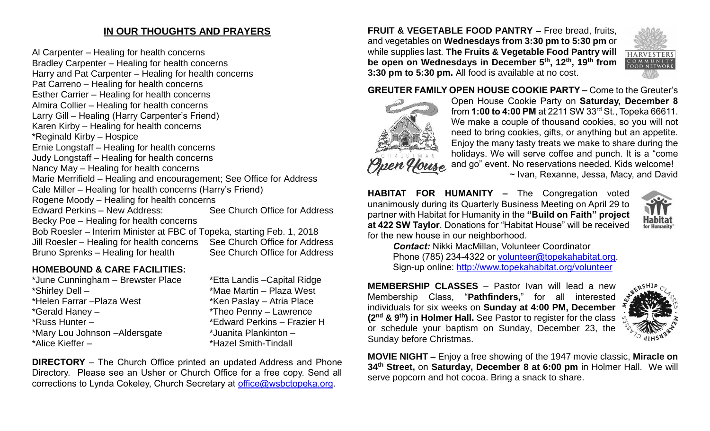# **IN OUR THOUGHTS AND PRAYERS**

Al Carpenter – Healing for health concerns Bradley Carpenter – Healing for health concerns Harry and Pat Carpenter – Healing for health concerns Pat Carreno – Healing for health concerns Esther Carrier – Healing for health concerns Almira Collier – Healing for health concerns Larry Gill – Healing (Harry Carpenter's Friend) Karen Kirby – Healing for health concerns \*Reginald Kirby – Hospice Ernie Longstaff – Healing for health concerns Judy Longstaff – Healing for health concerns Nancy May – Healing for health concerns Marie Merrifield – Healing and encouragement; See Office for Address Cale Miller – Healing for health concerns (Harry's Friend) Rogene Moody – Healing for health concerns Edward Perkins – New Address: See Church Office for Address Becky Poe – Healing for health concerns Bob Roesler – Interim Minister at FBC of Topeka, starting Feb. 1, 2018 Jill Roesler – Healing for health concerns See Church Office for Address Bruno Sprenks – Healing for health See Church Office for Address

## **HOMEBOUND & CARE FACILITIES:**

| *June Cunningham - Brewster Place | *Etta Landis |
|-----------------------------------|--------------|
| *Shirley Dell -                   | *Mae Martir  |
| *Helen Farrar - Plaza West        | *Ken Paslay  |
| *Gerald Haney -                   | *Theo Penn   |
| *Russ Hunter -                    | *Edward Pe   |
| *Mary Lou Johnson - Aldersgate    | *Juanita Pla |
| *Alice Kieffer -                  | *Hazel Smit  |
|                                   |              |

s – Capital Ridge n – Plaza West v – Atria Place y – Lawrence erkins – Frazier H ankinton – th-Tindall

**DIRECTORY** – The Church Office printed an updated Address and Phone Directory. Please see an Usher or Church Office for a free copy. Send all corrections to Lynda Cokeley, Church Secretary at [office@wsbctopeka.org.](mailto:office@wsbctopeka.org)

**FRUIT & VEGETABLE FOOD PANTRY –** Free bread, fruits, and vegetables on **Wednesdays from 3:30 pm to 5:30 pm** or while supplies last. **The Fruits & Vegetable Food Pantry will be open on Wednesdays in December 5th, 12th, 19th from 3:30 pm to 5:30 pm.** All food is available at no cost.



#### **GREUTER FAMILY OPEN HOUSE COOKIE PARTY –** Come to the Greuter's



Open House Cookie Party on **Saturday, December 8**  from **1:00 to 4:00 PM** at 2211 SW 33rd St., Topeka 66611. We make a couple of thousand cookies, so you will not need to bring cookies, gifts, or anything but an appetite. Enjoy the many tasty treats we make to share during the holidays. We will serve coffee and punch. It is a "come and go" event. No reservations needed. Kids welcome! ~ Ivan, Rexanne, Jessa, Macy, and David

**HABITAT FOR HUMANITY –** The Congregation voted unanimously during its Quarterly Business Meeting on April 29 to partner with Habitat for Humanity in the **"Build on Faith" project at 422 SW Taylor**. Donations for "Habitat House" will be received for the new house in our neighborhood.



*Contact:* Nikki MacMillan, Volunteer Coordinator Phone (785) 234-4322 or [volunteer@topekahabitat.org.](mailto:volunteer@topekahabitat.org) Sign-up online:<http://www.topekahabitat.org/volunteer>

**MEMBERSHIP CLASSES** – Pastor Ivan will lead a new Membership Class, "**Pathfinders,**" for all interested individuals for six weeks on **Sunday at 4:00 PM, December (2 nd & 9th) in Holmer Hall.** See Pastor to register for the class or schedule your baptism on Sunday, December 23, the Sunday before Christmas.



**MOVIE NIGHT –** Enjoy a free showing of the 1947 movie classic, **Miracle on 34th Street,** on **Saturday, December 8 at 6:00 pm** in Holmer Hall.We will serve popcorn and hot cocoa. Bring a snack to share.